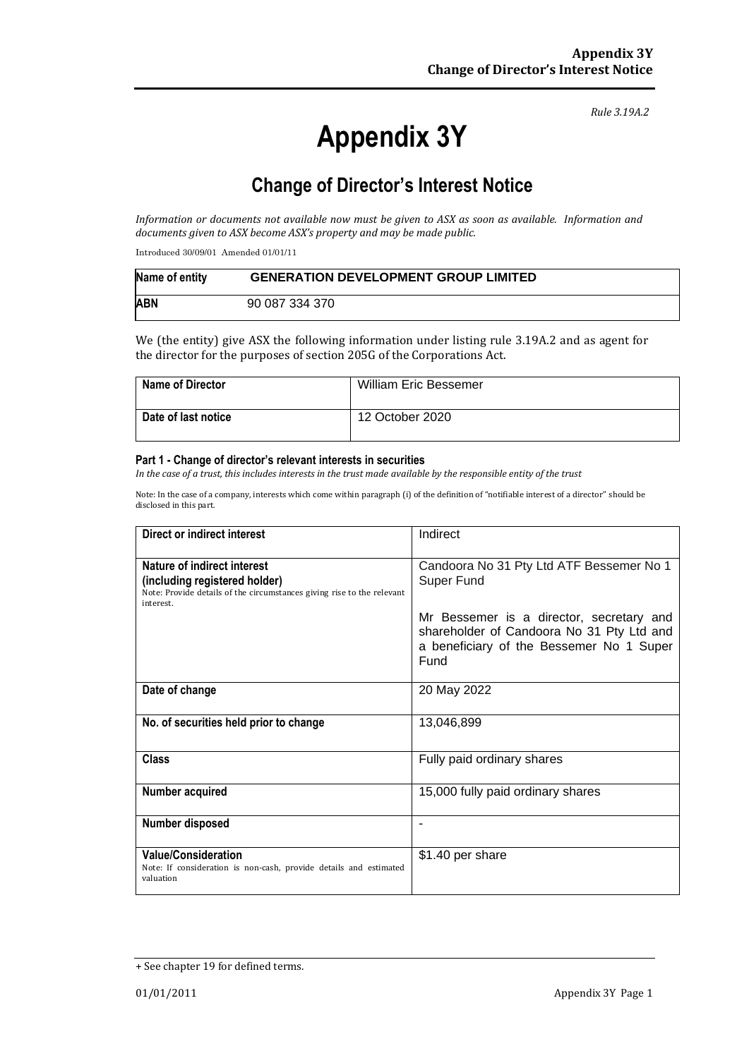# **Appendix 3Y**

*Rule 3.19A.2*

# **Change of Director's Interest Notice**

*Information or documents not available now must be given to ASX as soon as available. Information and documents given to ASX become ASX's property and may be made public.*

Introduced 30/09/01 Amended 01/01/11

| Name of entity | <b>GENERATION DEVELOPMENT GROUP LIMITED</b> |
|----------------|---------------------------------------------|
| <b>ABN</b>     | 90 087 334 370                              |

We (the entity) give ASX the following information under listing rule 3.19A.2 and as agent for the director for the purposes of section 205G of the Corporations Act.

| <b>Name of Director</b> | <b>William Eric Bessemer</b> |
|-------------------------|------------------------------|
| Date of last notice     | 12 October 2020              |

#### **Part 1 - Change of director's relevant interests in securities**

*In the case of a trust, this includes interests in the trust made available by the responsible entity of the trust*

Note: In the case of a company, interests which come within paragraph (i) of the definition of "notifiable interest of a director" should be disclosed in this part.

| Direct or indirect interest                                                                                                                         | Indirect                                                                                                                                  |  |
|-----------------------------------------------------------------------------------------------------------------------------------------------------|-------------------------------------------------------------------------------------------------------------------------------------------|--|
| Nature of indirect interest<br>(including registered holder)<br>Note: Provide details of the circumstances giving rise to the relevant<br>interest. | Candoora No 31 Pty Ltd ATF Bessemer No 1<br>Super Fund                                                                                    |  |
|                                                                                                                                                     | Mr Bessemer is a director, secretary and<br>shareholder of Candoora No 31 Pty Ltd and<br>a beneficiary of the Bessemer No 1 Super<br>Fund |  |
| Date of change                                                                                                                                      | 20 May 2022                                                                                                                               |  |
| No. of securities held prior to change                                                                                                              | 13,046,899                                                                                                                                |  |
| <b>Class</b>                                                                                                                                        | Fully paid ordinary shares                                                                                                                |  |
| Number acquired                                                                                                                                     | 15,000 fully paid ordinary shares                                                                                                         |  |
| Number disposed                                                                                                                                     | -                                                                                                                                         |  |
| <b>Value/Consideration</b><br>Note: If consideration is non-cash, provide details and estimated<br>valuation                                        | \$1.40 per share                                                                                                                          |  |

<sup>+</sup> See chapter 19 for defined terms.